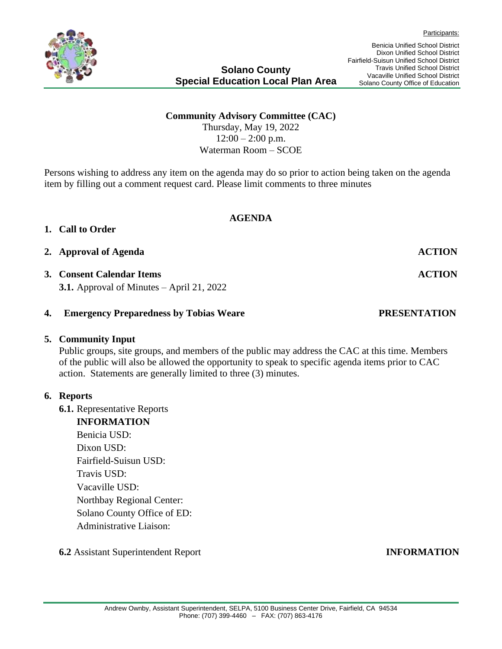### **Community Advisory Committee (CAC)**

Thursday, May 19, 2022  $12:00 - 2:00$  p.m. Waterman Room – SCOE

Persons wishing to address any item on the agenda may do so prior to action being taken on the agenda item by filling out a comment request card. Please limit comments to three minutes

**AGENDA**

### **1. Call to Order**

### 2. **Approval of Agenda ACTION**

## **3. Consent Calendar Items ACTION**

**3.1.** Approval of Minutes – April 21, 2022

### **4. Emergency Preparedness by Tobias Weare PRESENTATION**

### **5. Community Input**

Public groups, site groups, and members of the public may address the CAC at this time. Members of the public will also be allowed the opportunity to speak to specific agenda items prior to CAC action. Statements are generally limited to three (3) minutes.

### **6. Reports**

- **6.1.** Representative Reports
	- **INFORMATION**  Benicia USD: Dixon USD: Fairfield-Suisun USD: Travis USD: Vacaville USD: Northbay Regional Center: Solano County Office of ED: Administrative Liaison:
-